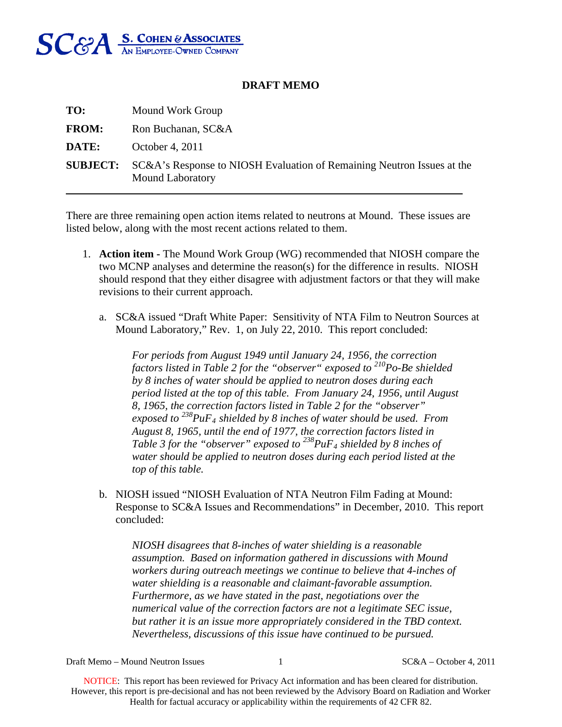

## **DRAFT MEMO**

| TO:          | Mound Work Group                                                                                                  |
|--------------|-------------------------------------------------------------------------------------------------------------------|
| <b>FROM:</b> | Ron Buchanan, SC&A                                                                                                |
| DATE:        | October 4, 2011                                                                                                   |
|              | <b>SUBJECT:</b> SC&A's Response to NIOSH Evaluation of Remaining Neutron Issues at the<br><b>Mound Laboratory</b> |

There are three remaining open action items related to neutrons at Mound. These issues are listed below, along with the most recent actions related to them.

- 1. **Action item** The Mound Work Group (WG) recommended that NIOSH compare the two MCNP analyses and determine the reason(s) for the difference in results. NIOSH should respond that they either disagree with adjustment factors or that they will make revisions to their current approach.
	- a. SC&A issued "Draft White Paper: Sensitivity of NTA Film to Neutron Sources at Mound Laboratory," Rev. 1, on July 22, 2010. This report concluded:

*For periods from August 1949 until January 24, 1956, the correction factors listed in Table 2 for the "observer" exposed to 210Po-Be shielded by 8 inches of water should be applied to neutron doses during each period listed at the top of this table. From January 24, 1956, until August 8, 1965, the correction factors listed in Table 2 for the "observer" exposed to 238PuF4 shielded by 8 inches of water should be used. From August 8, 1965, until the end of 1977, the correction factors listed in Table 3 for the "observer" exposed to 238PuF4 shielded by 8 inches of water should be applied to neutron doses during each period listed at the top of this table.* 

b. NIOSH issued "NIOSH Evaluation of NTA Neutron Film Fading at Mound: Response to SC&A Issues and Recommendations" in December, 2010. This report concluded:

*NIOSH disagrees that 8-inches of water shielding is a reasonable assumption. Based on information gathered in discussions with Mound workers during outreach meetings we continue to believe that 4-inches of water shielding is a reasonable and claimant-favorable assumption. Furthermore, as we have stated in the past, negotiations over the numerical value of the correction factors are not a legitimate SEC issue, but rather it is an issue more appropriately considered in the TBD context. Nevertheless, discussions of this issue have continued to be pursued.* 

Draft Memo – Mound Neutron Issues 1 SC&A – October 4, 2011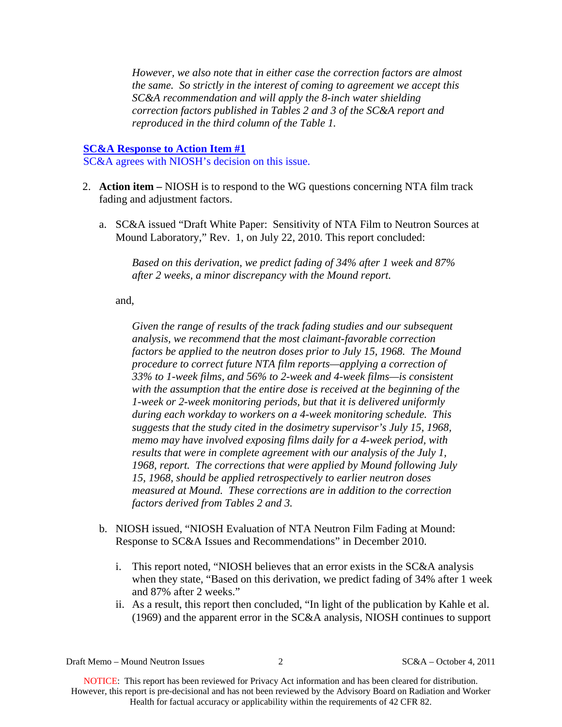*However, we also note that in either case the correction factors are almost the same. So strictly in the interest of coming to agreement we accept this SC&A recommendation and will apply the 8-inch water shielding correction factors published in Tables 2 and 3 of the SC&A report and reproduced in the third column of the Table 1.* 

## **SC&A Response to Action Item #1**

SC&A agrees with NIOSH's decision on this issue.

- 2. **Action item** NIOSH is to respond to the WG questions concerning NTA film track fading and adjustment factors.
	- a. SC&A issued "Draft White Paper: Sensitivity of NTA Film to Neutron Sources at Mound Laboratory," Rev. 1, on July 22, 2010. This report concluded:

*Based on this derivation, we predict fading of 34% after 1 week and 87% after 2 weeks, a minor discrepancy with the Mound report.* 

and,

*Given the range of results of the track fading studies and our subsequent analysis, we recommend that the most claimant-favorable correction factors be applied to the neutron doses prior to July 15, 1968. The Mound procedure to correct future NTA film reports—applying a correction of 33% to 1-week films, and 56% to 2-week and 4-week films—is consistent with the assumption that the entire dose is received at the beginning of the 1-week or 2-week monitoring periods, but that it is delivered uniformly during each workday to workers on a 4-week monitoring schedule. This suggests that the study cited in the dosimetry supervisor's July 15, 1968, memo may have involved exposing films daily for a 4-week period, with results that were in complete agreement with our analysis of the July 1, 1968, report. The corrections that were applied by Mound following July 15, 1968, should be applied retrospectively to earlier neutron doses measured at Mound. These corrections are in addition to the correction factors derived from Tables 2 and 3.* 

- b. NIOSH issued, "NIOSH Evaluation of NTA Neutron Film Fading at Mound: Response to SC&A Issues and Recommendations" in December 2010.
	- i. This report noted, "NIOSH believes that an error exists in the SC&A analysis when they state, "Based on this derivation, we predict fading of 34% after 1 week and 87% after 2 weeks."
	- ii. As a result, this report then concluded, "In light of the publication by Kahle et al. (1969) and the apparent error in the SC&A analysis, NIOSH continues to support

Draft Memo – Mound Neutron Issues 2 SC&A – October 4, 2011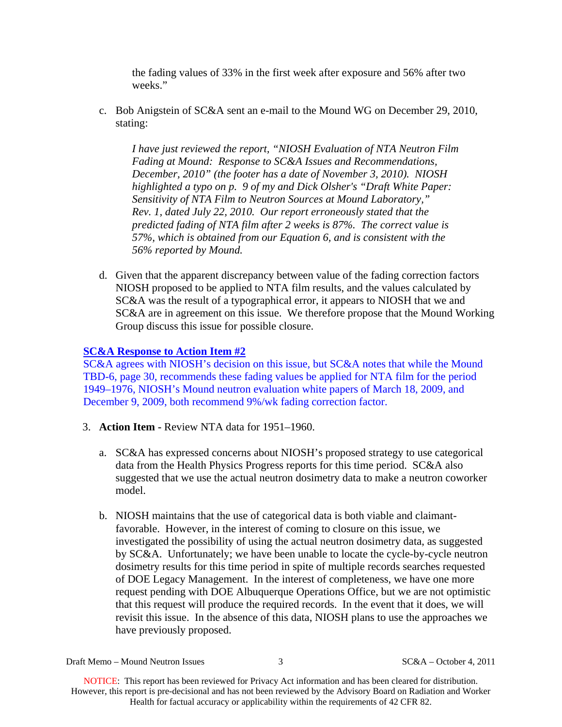the fading values of 33% in the first week after exposure and 56% after two weeks."

c. Bob Anigstein of SC&A sent an e-mail to the Mound WG on December 29, 2010, stating:

*I have just reviewed the report, "NIOSH Evaluation of NTA Neutron Film Fading at Mound: Response to SC&A Issues and Recommendations, December, 2010" (the footer has a date of November 3, 2010). NIOSH highlighted a typo on p. 9 of my and Dick Olsher's "Draft White Paper: Sensitivity of NTA Film to Neutron Sources at Mound Laboratory," Rev. 1, dated July 22, 2010. Our report erroneously stated that the predicted fading of NTA film after 2 weeks is 87%. The correct value is 57%, which is obtained from our Equation 6, and is consistent with the 56% reported by Mound.* 

d. Given that the apparent discrepancy between value of the fading correction factors NIOSH proposed to be applied to NTA film results, and the values calculated by SC&A was the result of a typographical error, it appears to NIOSH that we and SC&A are in agreement on this issue. We therefore propose that the Mound Working Group discuss this issue for possible closure.

## **SC&A Response to Action Item #2**

SC&A agrees with NIOSH's decision on this issue, but SC&A notes that while the Mound TBD-6, page 30, recommends these fading values be applied for NTA film for the period 1949–1976, NIOSH's Mound neutron evaluation white papers of March 18, 2009, and December 9, 2009, both recommend 9%/wk fading correction factor.

- 3. **Action Item** Review NTA data for 1951–1960.
	- a. SC&A has expressed concerns about NIOSH's proposed strategy to use categorical data from the Health Physics Progress reports for this time period. SC&A also suggested that we use the actual neutron dosimetry data to make a neutron coworker model.
	- b. NIOSH maintains that the use of categorical data is both viable and claimantfavorable. However, in the interest of coming to closure on this issue, we investigated the possibility of using the actual neutron dosimetry data, as suggested by SC&A. Unfortunately; we have been unable to locate the cycle-by-cycle neutron dosimetry results for this time period in spite of multiple records searches requested of DOE Legacy Management. In the interest of completeness, we have one more request pending with DOE Albuquerque Operations Office, but we are not optimistic that this request will produce the required records. In the event that it does, we will revisit this issue. In the absence of this data, NIOSH plans to use the approaches we have previously proposed.